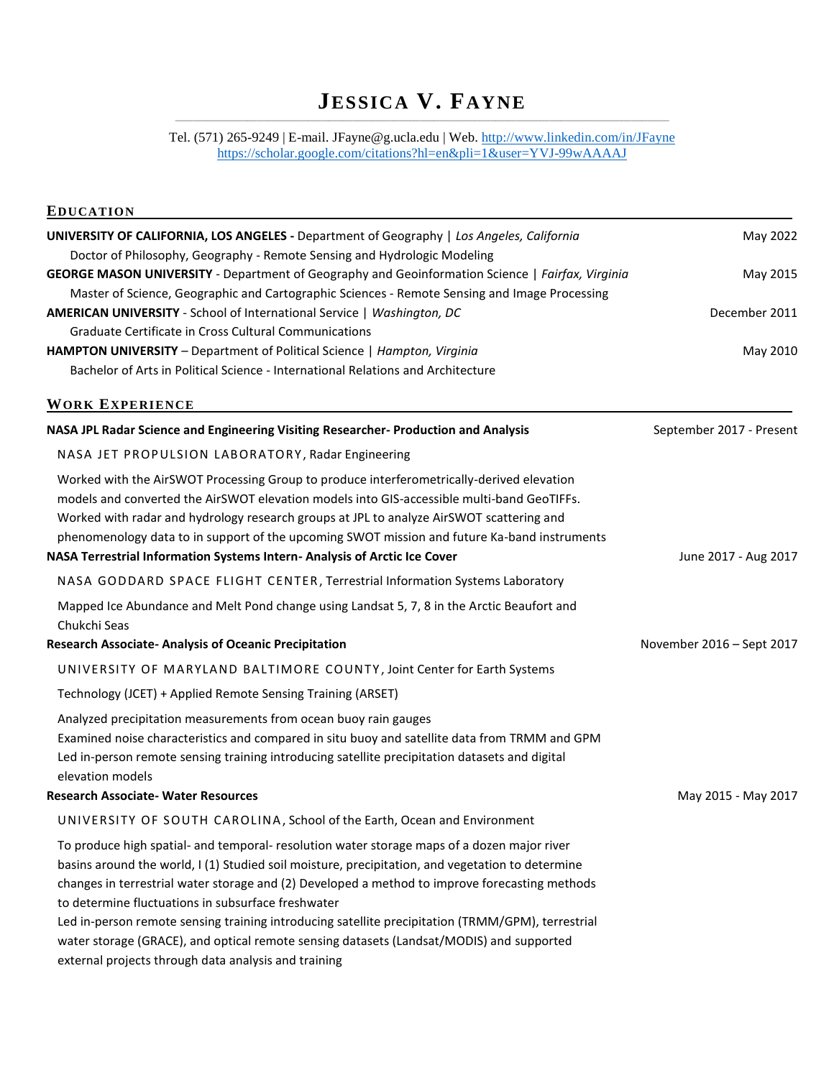# **JESSICA V. FAYNE** \_\_\_\_\_\_\_\_\_\_\_\_\_\_\_\_\_\_\_\_\_\_\_\_\_\_\_\_\_\_\_\_\_\_\_\_\_\_\_\_\_\_\_\_\_\_\_\_\_\_\_\_\_\_\_\_\_\_\_\_\_\_\_\_\_\_\_\_\_\_\_\_\_\_\_\_\_\_\_\_\_\_\_\_\_\_\_\_\_\_\_\_\_\_\_\_\_\_\_\_\_\_\_\_\_\_\_\_\_\_\_\_\_\_\_\_\_\_\_\_\_\_\_\_\_\_\_\_\_\_\_\_\_\_\_\_\_\_\_\_\_\_\_\_\_

# Tel. (571) 265-9249 | E-mail. JFayne@g.ucla.edu | Web[. http://www.linkedin.com/in/JFayne](http://www.linkedin.com/in/JFayne) <https://scholar.google.com/citations?hl=en&pli=1&user=YVJ-99wAAAAJ>

| <b>EDUCATION</b>                                                                                                                                                                                                                                                                                                                                                                                                                                             |                           |
|--------------------------------------------------------------------------------------------------------------------------------------------------------------------------------------------------------------------------------------------------------------------------------------------------------------------------------------------------------------------------------------------------------------------------------------------------------------|---------------------------|
| <b>UNIVERSITY OF CALIFORNIA, LOS ANGELES -</b> Department of Geography   Los Angeles, California<br>Doctor of Philosophy, Geography - Remote Sensing and Hydrologic Modeling                                                                                                                                                                                                                                                                                 | May 2022                  |
| GEORGE MASON UNIVERSITY - Department of Geography and Geoinformation Science   Fairfax, Virginia<br>Master of Science, Geographic and Cartographic Sciences - Remote Sensing and Image Processing                                                                                                                                                                                                                                                            | May 2015                  |
| AMERICAN UNIVERSITY - School of International Service   Washington, DC                                                                                                                                                                                                                                                                                                                                                                                       | December 2011             |
| Graduate Certificate in Cross Cultural Communications                                                                                                                                                                                                                                                                                                                                                                                                        |                           |
| HAMPTON UNIVERSITY - Department of Political Science   Hampton, Virginia                                                                                                                                                                                                                                                                                                                                                                                     | May 2010                  |
| Bachelor of Arts in Political Science - International Relations and Architecture                                                                                                                                                                                                                                                                                                                                                                             |                           |
| <b>WORK EXPERIENCE</b>                                                                                                                                                                                                                                                                                                                                                                                                                                       |                           |
| NASA JPL Radar Science and Engineering Visiting Researcher- Production and Analysis                                                                                                                                                                                                                                                                                                                                                                          | September 2017 - Present  |
| NASA JET PROPULSION LABORATORY, Radar Engineering                                                                                                                                                                                                                                                                                                                                                                                                            |                           |
| Worked with the AirSWOT Processing Group to produce interferometrically-derived elevation<br>models and converted the AirSWOT elevation models into GIS-accessible multi-band GeoTIFFs.<br>Worked with radar and hydrology research groups at JPL to analyze AirSWOT scattering and<br>phenomenology data to in support of the upcoming SWOT mission and future Ka-band instruments                                                                          |                           |
| NASA Terrestrial Information Systems Intern-Analysis of Arctic Ice Cover                                                                                                                                                                                                                                                                                                                                                                                     | June 2017 - Aug 2017      |
| NASA GODDARD SPACE FLIGHT CENTER, Terrestrial Information Systems Laboratory                                                                                                                                                                                                                                                                                                                                                                                 |                           |
| Mapped Ice Abundance and Melt Pond change using Landsat 5, 7, 8 in the Arctic Beaufort and<br>Chukchi Seas                                                                                                                                                                                                                                                                                                                                                   |                           |
| <b>Research Associate- Analysis of Oceanic Precipitation</b>                                                                                                                                                                                                                                                                                                                                                                                                 | November 2016 - Sept 2017 |
| UNIVERSITY OF MARYLAND BALTIMORE COUNTY, Joint Center for Earth Systems                                                                                                                                                                                                                                                                                                                                                                                      |                           |
| Technology (JCET) + Applied Remote Sensing Training (ARSET)                                                                                                                                                                                                                                                                                                                                                                                                  |                           |
| Analyzed precipitation measurements from ocean buoy rain gauges<br>Examined noise characteristics and compared in situ buoy and satellite data from TRMM and GPM<br>Led in-person remote sensing training introducing satellite precipitation datasets and digital<br>elevation models                                                                                                                                                                       |                           |
| <b>Research Associate- Water Resources</b>                                                                                                                                                                                                                                                                                                                                                                                                                   | May 2015 - May 2017       |
| UNIVERSITY OF SOUTH CAROLINA, School of the Earth, Ocean and Environment                                                                                                                                                                                                                                                                                                                                                                                     |                           |
| To produce high spatial- and temporal- resolution water storage maps of a dozen major river<br>basins around the world, I (1) Studied soil moisture, precipitation, and vegetation to determine<br>changes in terrestrial water storage and (2) Developed a method to improve forecasting methods<br>to determine fluctuations in subsurface freshwater<br>Led in-person remote sensing training introducing satellite precipitation (TRMM/GPM), terrestrial |                           |
| water storage (GRACE), and optical remote sensing datasets (Landsat/MODIS) and supported<br>external projects through data analysis and training                                                                                                                                                                                                                                                                                                             |                           |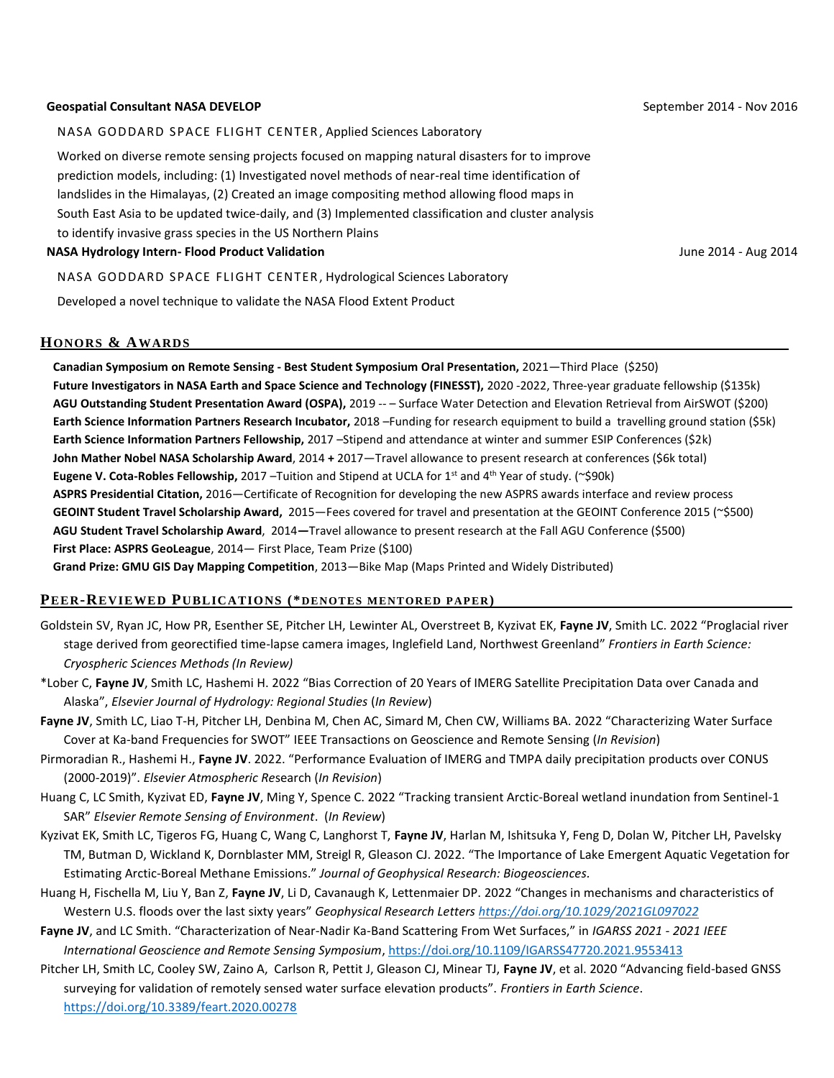#### **Geospatial Consultant NASA DEVELOP**

#### NASA GODDARD SPACE FLIGHT CENTER, Applied Sciences Laboratory

Worked on diverse remote sensing projects focused on mapping natural disasters for to improve prediction models, including: (1) Investigated novel methods of near-real time identification of landslides in the Himalayas, (2) Created an image compositing method allowing flood maps in South East Asia to be updated twice-daily, and (3) Implemented classification and cluster analysis to identify invasive grass species in the US Northern Plains

#### **NASA Hydrology Intern- Flood Product Validation**

NASA GODDARD SPACE FLIGHT CENTER, Hydrological Sciences Laboratory

Developed a novel technique to validate the NASA Flood Extent Product

#### **HONORS & AWARDS .**

**Canadian Symposium on Remote Sensing - Best Student Symposium Oral Presentation,** 2021—Third Place (\$250) Future Investigators in NASA Earth and Space Science and Technology (FINESST), 2020 -2022, Three-year graduate fellowship (\$135k) **AGU Outstanding Student Presentation Award (OSPA),** 2019 -- – Surface Water Detection and Elevation Retrieval from AirSWOT (\$200) **Earth Science Information Partners Research Incubator,** 2018 –Funding for research equipment to build a travelling ground station (\$5k) **Earth Science Information Partners Fellowship,** 2017 –Stipend and attendance at winter and summer ESIP Conferences (\$2k) **John Mather Nobel NASA Scholarship Award**, 2014 **+** 2017—Travel allowance to present research at conferences (\$6k total) Eugene V. Cota-Robles Fellowship, 2017 –Tuition and Stipend at UCLA for 1<sup>st</sup> and 4<sup>th</sup> Year of study. (~\$90k) **ASPRS Presidential Citation,** 2016—Certificate of Recognition for developing the new ASPRS awards interface and review process **GEOINT Student Travel Scholarship Award,** 2015—Fees covered for travel and presentation at the GEOINT Conference 2015 (~\$500) **AGU Student Travel Scholarship Award**, 2014*—*Travel allowance to present research at the Fall AGU Conference (\$500) **First Place: ASPRS GeoLeague**, 2014— First Place, Team Prize (\$100) **Grand Prize: GMU GIS Day Mapping Competition**, 2013—Bike Map (Maps Printed and Widely Distributed)

#### **PEER-REVIEWED PUBLICATIONS (\*DENOTES MENTORED P APER) .**

- Goldstein SV, Ryan JC, How PR, Esenther SE, Pitcher LH, Lewinter AL, Overstreet B, Kyzivat EK, **Fayne JV**, Smith LC. 2022 "Proglacial river stage derived from georectified time-lapse camera images, Inglefield Land, Northwest Greenland" *Frontiers in Earth Science: Cryospheric Sciences Methods (In Review)*
- \*Lober C, **Fayne JV**, Smith LC, Hashemi H. 2022 "Bias Correction of 20 Years of IMERG Satellite Precipitation Data over Canada and Alaska", *Elsevier Journal of Hydrology: Regional Studies* (*In Review*)
- **Fayne JV**, Smith LC, Liao T-H, Pitcher LH, Denbina M, Chen AC, Simard M, Chen CW, Williams BA. 2022 "Characterizing Water Surface Cover at Ka-band Frequencies for SWOT" IEEE Transactions on Geoscience and Remote Sensing (*In Revision*)
- Pirmoradian R., Hashemi H., **Fayne JV**. 2022. "Performance Evaluation of IMERG and TMPA daily precipitation products over CONUS (2000-2019)". *Elsevier Atmospheric Re*search (*In Revision*)
- Huang C, LC Smith, Kyzivat ED, **Fayne JV**, Ming Y, Spence C. 2022 "Tracking transient Arctic-Boreal wetland inundation from Sentinel-1 SAR" *Elsevier Remote Sensing of Environment*. (*In Review*)
- Kyzivat EK, Smith LC, Tigeros FG, Huang C, Wang C, Langhorst T, **Fayne JV**, Harlan M, Ishitsuka Y, Feng D, Dolan W, Pitcher LH, Pavelsky TM, Butman D, Wickland K, Dornblaster MM, Streigl R, Gleason CJ. 2022. "The Importance of Lake Emergent Aquatic Vegetation for Estimating Arctic-Boreal Methane Emissions." *Journal of Geophysical Research: Biogeosciences.*
- Huang H, Fischella M, Liu Y, Ban Z, **Fayne JV**, Li D, Cavanaugh K, Lettenmaier DP. 2022 "Changes in mechanisms and characteristics of Western U.S. floods over the last sixty years" *Geophysical Research Letters <https://doi.org/10.1029/2021GL097022>*
- **Fayne JV**, and LC Smith. "Characterization of Near-Nadir Ka-Band Scattering From Wet Surfaces," in *IGARSS 2021 - 2021 IEEE International Geoscience and Remote Sensing Symposium*[, https://doi.org/10.1109/IGARSS47720.2021.9553413](https://doi.org/10.1109/IGARSS47720.2021.9553413)
- Pitcher LH, Smith LC, Cooley SW, Zaino A, Carlson R, Pettit J, Gleason CJ, Minear TJ, **Fayne JV**, et al. 2020 "Advancing field-based GNSS surveying for validation of remotely sensed water surface elevation products". *Frontiers in Earth Science*. <https://doi.org/10.3389/feart.2020.00278>

September 2014 - Nov 2016

June 2014 - Aug 2014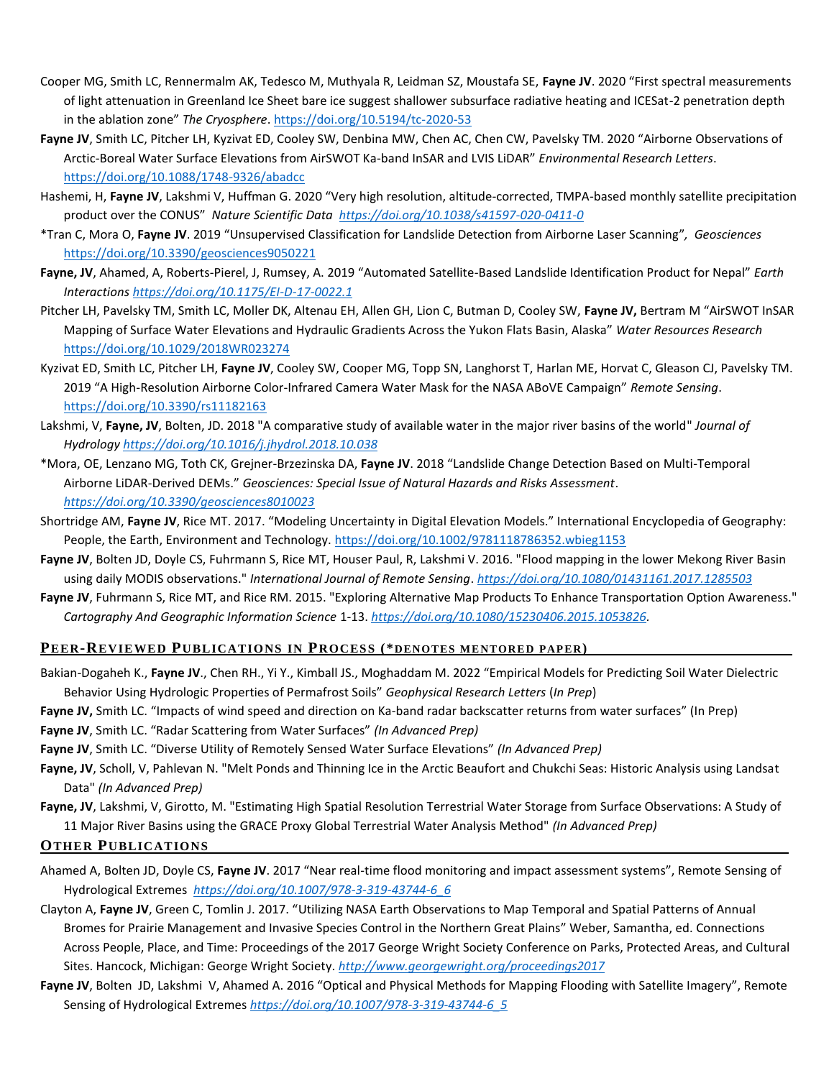- Cooper MG, Smith LC, Rennermalm AK, Tedesco M, Muthyala R, Leidman SZ, Moustafa SE, **Fayne JV**. 2020 "First spectral measurements of light attenuation in Greenland Ice Sheet bare ice suggest shallower subsurface radiative heating and ICESat-2 penetration depth in the ablation zone" *The Cryosphere*.<https://doi.org/10.5194/tc-2020-53>
- **Fayne JV**, Smith LC, Pitcher LH, Kyzivat ED, Cooley SW, Denbina MW, Chen AC, Chen CW, Pavelsky TM. 2020 "Airborne Observations of Arctic-Boreal Water Surface Elevations from AirSWOT Ka-band InSAR and LVIS LiDAR" *Environmental Research Letters*. <https://doi.org/10.1088/1748-9326/abadcc>
- Hashemi, H, **Fayne JV**, Lakshmi V, Huffman G. 2020 "Very high resolution, altitude-corrected, TMPA-based monthly satellite precipitation product over the CONUS" *Nature Scientific Data <https://doi.org/10.1038/s41597-020-0411-0>*
- \*Tran C, Mora O, **Fayne JV**. 2019 "Unsupervised Classification for Landslide Detection from Airborne Laser Scanning"*, Geosciences* <https://doi.org/10.3390/geosciences9050221>
- **Fayne, JV**, Ahamed, A, Roberts-Pierel, J, Rumsey, A. 2019 "Automated Satellite-Based Landslide Identification Product for Nepal" *Earth Interaction[s https://doi.org/10.1175/EI-D-17-0022.1](https://doi.org/10.1175/EI-D-17-0022.1)*
- Pitcher LH, Pavelsky TM, Smith LC, Moller DK, Altenau EH, Allen GH, Lion C, Butman D, Cooley SW, **Fayne JV,** Bertram M "AirSWOT InSAR Mapping of Surface Water Elevations and Hydraulic Gradients Across the Yukon Flats Basin, Alaska" *Water Resources Research* <https://doi.org/10.1029/2018WR023274>
- Kyzivat ED, Smith LC, Pitcher LH, **Fayne JV**, Cooley SW, Cooper MG, Topp SN, Langhorst T, Harlan ME, Horvat C, Gleason CJ, Pavelsky TM. 2019 "A High-Resolution Airborne Color-Infrared Camera Water Mask for the NASA ABoVE Campaign" *Remote Sensing*. <https://doi.org/10.3390/rs11182163>
- Lakshmi, V, **Fayne, JV**, Bolten, JD. 2018 "A comparative study of available water in the major river basins of the world" *Journal of Hydrology <https://doi.org/10.1016/j.jhydrol.2018.10.038>*
- \*Mora, OE, Lenzano MG, Toth CK, Grejner-Brzezinska DA, **Fayne JV**. 2018 "Landslide Change Detection Based on Multi-Temporal Airborne LiDAR-Derived DEMs." *Geosciences: Special Issue of Natural Hazards and Risks Assessment*. *<https://doi.org/10.3390/geosciences8010023>*
- Shortridge AM, **Fayne JV**, Rice MT. 2017. "Modeling Uncertainty in Digital Elevation Models." International Encyclopedia of Geography: People, the Earth, Environment and Technology[. https://doi.org/10.1002/9781118786352.wbieg1153](https://doi.org/10.1002/9781118786352.wbieg1153)
- **Fayne JV**, Bolten JD, Doyle CS, Fuhrmann S, Rice MT, Houser Paul, R, Lakshmi V. 2016. "Flood mapping in the lower Mekong River Basin using daily MODIS observations." *International Journal of Remote Sensing*. *<https://doi.org/10.1080/01431161.2017.1285503>*
- **Fayne JV**, Fuhrmann S, Rice MT, and Rice RM. 2015. "Exploring Alternative Map Products To Enhance Transportation Option Awareness." *Cartography And Geographic Information Science* 1-13. *[https://doi.org/10.1080/15230406.2015.1053826.](https://doi.org/10.1080/15230406.2015.1053826)*

### **PEER-REVIEWED PUBLICATIONS IN PROCESS (\*DENOTES ME NTORE D PAPER) .**

- Bakian-Dogaheh K., **Fayne JV**., Chen RH., Yi Y., Kimball JS., Moghaddam M. 2022 "Empirical Models for Predicting Soil Water Dielectric Behavior Using Hydrologic Properties of Permafrost Soils" *Geophysical Research Letters* (*In Prep*)
- **Fayne JV,** Smith LC. "Impacts of wind speed and direction on Ka-band radar backscatter returns from water surfaces" (In Prep)
- **Fayne JV**, Smith LC. "Radar Scattering from Water Surfaces" *(In Advanced Prep)*
- **Fayne JV**, Smith LC. "Diverse Utility of Remotely Sensed Water Surface Elevations" *(In Advanced Prep)*
- **Fayne, JV**, Scholl, V, Pahlevan N. "Melt Ponds and Thinning Ice in the Arctic Beaufort and Chukchi Seas: Historic Analysis using Landsat Data" *(In Advanced Prep)*
- **Fayne, JV**, Lakshmi, V, Girotto, M. "Estimating High Spatial Resolution Terrestrial Water Storage from Surface Observations: A Study of 11 Major River Basins using the GRACE Proxy Global Terrestrial Water Analysis Method" *(In Advanced Prep)*

# **OTHER PUBLICATIONS .**

- Ahamed A, Bolten JD, Doyle CS, **Fayne JV**. 2017 "Near real-time flood monitoring and impact assessment systems", Remote Sensing of Hydrological Extremes *[https://doi.org/10.1007/978-3-319-43744-6\\_6](https://doi.org/10.1007/978-3-319-43744-6_6)*
- Clayton A, **Fayne JV**, Green C, Tomlin J. 2017. "Utilizing NASA Earth Observations to Map Temporal and Spatial Patterns of Annual Bromes for Prairie Management and Invasive Species Control in the Northern Great Plains" Weber, Samantha, ed. Connections Across People, Place, and Time: Proceedings of the 2017 George Wright Society Conference on Parks, Protected Areas, and Cultural Sites. Hancock, Michigan: George Wright Society. *<http://www.georgewright.org/proceedings2017>*
- Fayne JV, Bolten JD, Lakshmi V, Ahamed A. 2016 "Optical and Physical Methods for Mapping Flooding with Satellite Imagery", Remote Sensing of Hydrological Extremes *[https://doi.org/10.1007/978-3-319-43744-6\\_5](https://doi.org/10.1007/978-3-319-43744-6_5)*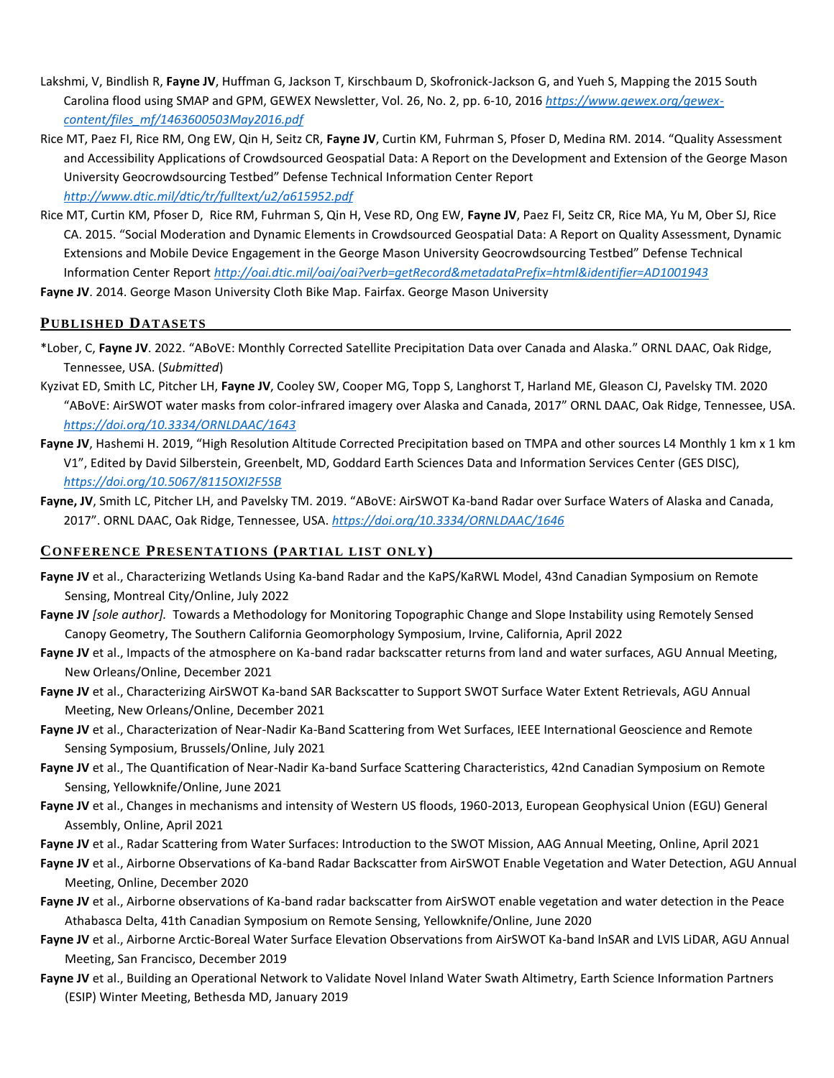- Lakshmi, V, Bindlish R, **Fayne JV**, Huffman G, Jackson T, Kirschbaum D, Skofronick-Jackson G, and Yueh S, Mapping the 2015 South Carolina flood using SMAP and GPM, GEWEX Newsletter, Vol. 26, No. 2, pp. 6-10, 2016 *[https://www.gewex.org/gewex](https://www.gewex.org/gewex-content/files_mf/1463600503May2016.pdf)[content/files\\_mf/1463600503May2016.pdf](https://www.gewex.org/gewex-content/files_mf/1463600503May2016.pdf)*
- Rice MT, Paez FI, Rice RM, Ong EW, Qin H, Seitz CR, **Fayne JV**, Curtin KM, Fuhrman S, Pfoser D, Medina RM. 2014. "Quality Assessment and Accessibility Applications of Crowdsourced Geospatial Data: A Report on the Development and Extension of the George Mason University Geocrowdsourcing Testbed" Defense Technical Information Center Report

*<http://www.dtic.mil/dtic/tr/fulltext/u2/a615952.pdf>*

Rice MT, Curtin KM, Pfoser D, Rice RM, Fuhrman S, Qin H, Vese RD, Ong EW, **Fayne JV**, Paez FI, Seitz CR, Rice MA, Yu M, Ober SJ, Rice CA. 2015. "Social Moderation and Dynamic Elements in Crowdsourced Geospatial Data: A Report on Quality Assessment, Dynamic Extensions and Mobile Device Engagement in the George Mason University Geocrowdsourcing Testbed" Defense Technical Information Center Report *<http://oai.dtic.mil/oai/oai?verb=getRecord&metadataPrefix=html&identifier=AD1001943>*

**Fayne JV**. 2014. George Mason University Cloth Bike Map. Fairfax. George Mason University

### **PUBLISHED DATASETS .**

- \*Lober, C, **Fayne JV**. 2022. "ABoVE: Monthly Corrected Satellite Precipitation Data over Canada and Alaska." ORNL DAAC, Oak Ridge, Tennessee, USA. (*Submitted*)
- Kyzivat ED, Smith LC, Pitcher LH, **Fayne JV**, Cooley SW, Cooper MG, Topp S, Langhorst T, Harland ME, Gleason CJ, Pavelsky TM. 2020 "ABoVE: AirSWOT water masks from color-infrared imagery over Alaska and Canada, 2017" ORNL DAAC, Oak Ridge, Tennessee, USA. *<https://doi.org/10.3334/ORNLDAAC/1643>*
- **Fayne JV**, Hashemi H. 2019, "High Resolution Altitude Corrected Precipitation based on TMPA and other sources L4 Monthly 1 km x 1 km V1", Edited by David Silberstein, Greenbelt, MD, Goddard Earth Sciences Data and Information Services Center (GES DISC), *<https://doi.org/10.5067/8115OXI2F5SB>*
- **Fayne, JV**, Smith LC, Pitcher LH, and Pavelsky TM. 2019. "ABoVE: AirSWOT Ka-band Radar over Surface Waters of Alaska and Canada, 2017". ORNL DAAC, Oak Ridge, Tennessee, USA. *<https://doi.org/10.3334/ORNLDAAC/1646>*

### **CONFERENCE PRESENTATIONS (PARTIAL LIST ONLY) .**

- **Fayne JV** et al., Characterizing Wetlands Using Ka-band Radar and the KaPS/KaRWL Model, 43nd Canadian Symposium on Remote Sensing, Montreal City/Online, July 2022
- **Fayne JV** *[sole author].* Towards a Methodology for Monitoring Topographic Change and Slope Instability using Remotely Sensed Canopy Geometry, The Southern California Geomorphology Symposium, Irvine, California, April 2022
- Fayne JV et al., Impacts of the atmosphere on Ka-band radar backscatter returns from land and water surfaces, AGU Annual Meeting, New Orleans/Online, December 2021
- **Fayne JV** et al., Characterizing AirSWOT Ka-band SAR Backscatter to Support SWOT Surface Water Extent Retrievals, AGU Annual Meeting, New Orleans/Online, December 2021
- Fayne JV et al., Characterization of Near-Nadir Ka-Band Scattering from Wet Surfaces, IEEE International Geoscience and Remote Sensing Symposium, Brussels/Online, July 2021
- **Fayne JV** et al., The Quantification of Near-Nadir Ka-band Surface Scattering Characteristics, 42nd Canadian Symposium on Remote Sensing, Yellowknife/Online, June 2021
- **Fayne JV** et al., Changes in mechanisms and intensity of Western US floods, 1960-2013, European Geophysical Union (EGU) General Assembly, Online, April 2021
- **Fayne JV** et al., Radar Scattering from Water Surfaces: Introduction to the SWOT Mission, AAG Annual Meeting, Online, April 2021
- **Fayne JV** et al., Airborne Observations of Ka-band Radar Backscatter from AirSWOT Enable Vegetation and Water Detection, AGU Annual Meeting, Online, December 2020
- **Fayne JV** et al., Airborne observations of Ka-band radar backscatter from AirSWOT enable vegetation and water detection in the Peace Athabasca Delta, 41th Canadian Symposium on Remote Sensing, Yellowknife/Online, June 2020
- **Fayne JV** et al., Airborne Arctic-Boreal Water Surface Elevation Observations from AirSWOT Ka-band InSAR and LVIS LiDAR, AGU Annual Meeting, San Francisco, December 2019
- **Fayne JV** et al., Building an Operational Network to Validate Novel Inland Water Swath Altimetry, Earth Science Information Partners (ESIP) Winter Meeting, Bethesda MD, January 2019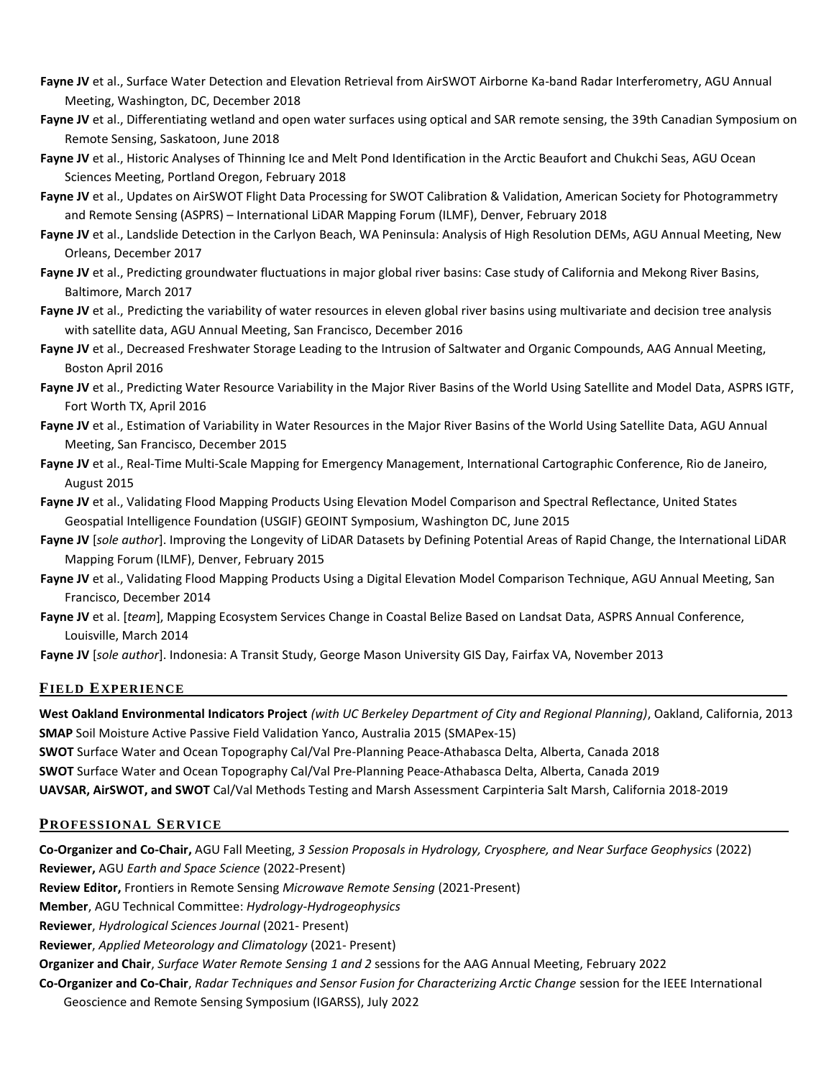- **Fayne JV** et al., Surface Water Detection and Elevation Retrieval from AirSWOT Airborne Ka-band Radar Interferometry, AGU Annual Meeting, Washington, DC, December 2018
- Fayne JV et al., Differentiating wetland and open water surfaces using optical and SAR remote sensing, the 39th Canadian Symposium on Remote Sensing, Saskatoon, June 2018
- Fayne JV et al., Historic Analyses of Thinning Ice and Melt Pond Identification in the Arctic Beaufort and Chukchi Seas, AGU Ocean Sciences Meeting, Portland Oregon, February 2018
- Fayne JV et al., Updates on AirSWOT Flight Data Processing for SWOT Calibration & Validation, American Society for Photogrammetry and Remote Sensing (ASPRS) – International LiDAR Mapping Forum (ILMF), Denver, February 2018
- **Fayne JV** et al., Landslide Detection in the Carlyon Beach, WA Peninsula: Analysis of High Resolution DEMs, AGU Annual Meeting, New Orleans, December 2017
- **Fayne JV** et al., Predicting groundwater fluctuations in major global river basins: Case study of California and Mekong River Basins, Baltimore, March 2017
- Fayne JV et al., Predicting the variability of water resources in eleven global river basins using multivariate and decision tree analysis with satellite data, AGU Annual Meeting, San Francisco, December 2016
- **Fayne JV** et al., Decreased Freshwater Storage Leading to the Intrusion of Saltwater and Organic Compounds, AAG Annual Meeting, Boston April 2016
- **Fayne JV** et al., Predicting Water Resource Variability in the Major River Basins of the World Using Satellite and Model Data, ASPRS IGTF, Fort Worth TX, April 2016
- **Fayne JV** et al., Estimation of Variability in Water Resources in the Major River Basins of the World Using Satellite Data, AGU Annual Meeting, San Francisco, December 2015
- **Fayne JV** et al., Real-Time Multi-Scale Mapping for Emergency Management, International Cartographic Conference, Rio de Janeiro, August 2015
- **Fayne JV** et al., Validating Flood Mapping Products Using Elevation Model Comparison and Spectral Reflectance, United States Geospatial Intelligence Foundation (USGIF) GEOINT Symposium, Washington DC, June 2015
- **Fayne JV** [*sole author*]. Improving the Longevity of LiDAR Datasets by Defining Potential Areas of Rapid Change, the International LiDAR Mapping Forum (ILMF), Denver, February 2015
- **Fayne JV** et al., Validating Flood Mapping Products Using a Digital Elevation Model Comparison Technique, AGU Annual Meeting, San Francisco, December 2014
- **Fayne JV** et al. [*team*], Mapping Ecosystem Services Change in Coastal Belize Based on Landsat Data, ASPRS Annual Conference, Louisville, March 2014

**Fayne JV** [*sole author*]. Indonesia: A Transit Study, George Mason University GIS Day, Fairfax VA, November 2013

### **FIELD EXPERIENCE .**

**West Oakland Environmental Indicators Project** *(with UC Berkeley Department of City and Regional Planning)*, Oakland, California, 2013 **SMAP** Soil Moisture Active Passive Field Validation Yanco, Australia 2015 (SMAPex-15)

**SWOT** Surface Water and Ocean Topography Cal/Val Pre-Planning Peace-Athabasca Delta, Alberta, Canada 2018

**SWOT** Surface Water and Ocean Topography Cal/Val Pre-Planning Peace-Athabasca Delta, Alberta, Canada 2019

**UAVSAR, AirSWOT, and SWOT** Cal/Val Methods Testing and Marsh Assessment Carpinteria Salt Marsh, California 2018-2019

### **PROFESSIONAL SERVICE .**

**Co-Organizer and Co-Chair,** AGU Fall Meeting, *3 Session Proposals in Hydrology, Cryosphere, and Near Surface Geophysics* (2022) **Reviewer,** AGU *Earth and Space Science* (2022-Present)

**Review Editor,** Frontiers in Remote Sensing *Microwave Remote Sensing* (2021-Present)

**Member**, AGU Technical Committee: *Hydrology-Hydrogeophysics*

**Reviewer**, *Hydrological Sciences Journal* (2021- Present)

**Reviewer**, *Applied Meteorology and Climatology* (2021- Present)

**Organizer and Chair**, *Surface Water Remote Sensing 1 and 2* sessions for the AAG Annual Meeting, February 2022

**Co-Organizer and Co-Chair**, *Radar Techniques and Sensor Fusion for Characterizing Arctic Change* session for the IEEE International

Geoscience and Remote Sensing Symposium (IGARSS), July 2022